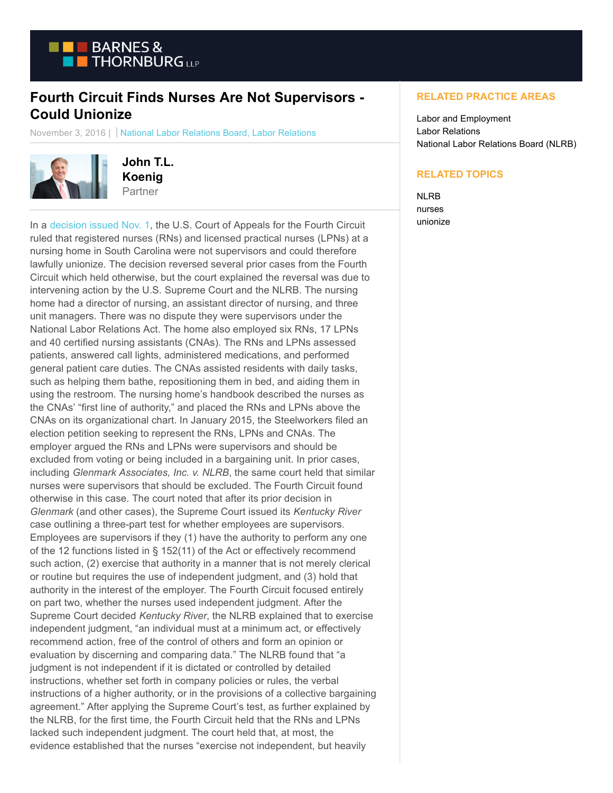

## **Fourth Circuit Finds Nurses Are Not Supervisors - Could Unionize**

November 3, 2016 | National Labor Relations Board, Labor Relations



**John T.L. Koenig** Partner

In a [decision issued Nov. 1,](https://www.btlaborrelations.com/wp-content/uploads/2016/11/PalmettoNLRB.pdf) the U.S. Court of Appeals for the Fourth Circuit ruled that registered nurses (RNs) and licensed practical nurses (LPNs) at a nursing home in South Carolina were not supervisors and could therefore lawfully unionize. The decision reversed several prior cases from the Fourth Circuit which held otherwise, but the court explained the reversal was due to intervening action by the U.S. Supreme Court and the NLRB. The nursing home had a director of nursing, an assistant director of nursing, and three unit managers. There was no dispute they were supervisors under the National Labor Relations Act. The home also employed six RNs, 17 LPNs and 40 certified nursing assistants (CNAs). The RNs and LPNs assessed patients, answered call lights, administered medications, and performed general patient care duties. The CNAs assisted residents with daily tasks, such as helping them bathe, repositioning them in bed, and aiding them in using the restroom. The nursing home's handbook described the nurses as the CNAs' "first line of authority," and placed the RNs and LPNs above the CNAs on its organizational chart. In January 2015, the Steelworkers filed an election petition seeking to represent the RNs, LPNs and CNAs. The employer argued the RNs and LPNs were supervisors and should be excluded from voting or being included in a bargaining unit. In prior cases, including *Glenmark Associates, Inc. v. NLRB*, the same court held that similar nurses were supervisors that should be excluded. The Fourth Circuit found otherwise in this case. The court noted that after its prior decision in *Glenmark* (and other cases), the Supreme Court issued its *Kentucky River* case outlining a three-part test for whether employees are supervisors. Employees are supervisors if they (1) have the authority to perform any one of the 12 functions listed in § 152(11) of the Act or effectively recommend such action, (2) exercise that authority in a manner that is not merely clerical or routine but requires the use of independent judgment, and (3) hold that authority in the interest of the employer. The Fourth Circuit focused entirely on part two, whether the nurses used independent judgment. After the Supreme Court decided *Kentucky River*, the NLRB explained that to exercise independent judgment, "an individual must at a minimum act, or effectively recommend action, free of the control of others and form an opinion or evaluation by discerning and comparing data." The NLRB found that "a judgment is not independent if it is dictated or controlled by detailed instructions, whether set forth in company policies or rules, the verbal instructions of a higher authority, or in the provisions of a collective bargaining agreement." After applying the Supreme Court's test, as further explained by the NLRB, for the first time, the Fourth Circuit held that the RNs and LPNs lacked such independent judgment. The court held that, at most, the evidence established that the nurses "exercise not independent, but heavily

## **RELATED PRACTICE AREAS**

Labor and Employment Labor Relations National Labor Relations Board (NLRB)

## **RELATED TOPICS**

NLRB nurses unionize